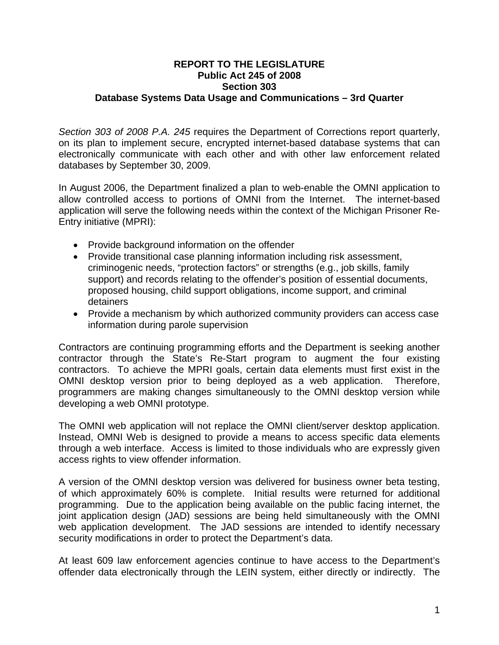## **REPORT TO THE LEGISLATURE Public Act 245 of 2008 Section 303 Database Systems Data Usage and Communications – 3rd Quarter**

*Section 303 of 2008 P.A. 245* requires the Department of Corrections report quarterly, on its plan to implement secure, encrypted internet-based database systems that can electronically communicate with each other and with other law enforcement related databases by September 30, 2009.

In August 2006, the Department finalized a plan to web-enable the OMNI application to allow controlled access to portions of OMNI from the Internet. The internet-based application will serve the following needs within the context of the Michigan Prisoner Re-Entry initiative (MPRI):

- Provide background information on the offender
- Provide transitional case planning information including risk assessment, criminogenic needs, "protection factors" or strengths (e.g., job skills, family support) and records relating to the offender's position of essential documents, proposed housing, child support obligations, income support, and criminal detainers
- Provide a mechanism by which authorized community providers can access case information during parole supervision

Contractors are continuing programming efforts and the Department is seeking another contractor through the State's Re-Start program to augment the four existing contractors. To achieve the MPRI goals, certain data elements must first exist in the OMNI desktop version prior to being deployed as a web application. Therefore, programmers are making changes simultaneously to the OMNI desktop version while developing a web OMNI prototype.

The OMNI web application will not replace the OMNI client/server desktop application. Instead, OMNI Web is designed to provide a means to access specific data elements through a web interface. Access is limited to those individuals who are expressly given access rights to view offender information.

A version of the OMNI desktop version was delivered for business owner beta testing, of which approximately 60% is complete. Initial results were returned for additional programming. Due to the application being available on the public facing internet, the joint application design (JAD) sessions are being held simultaneously with the OMNI web application development. The JAD sessions are intended to identify necessary security modifications in order to protect the Department's data.

At least 609 law enforcement agencies continue to have access to the Department's offender data electronically through the LEIN system, either directly or indirectly. The